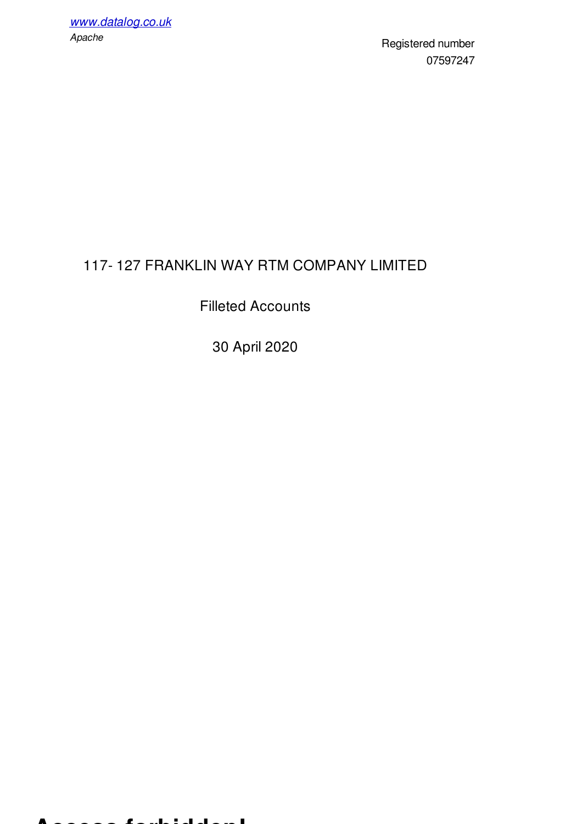Registered number 07597247

# 117- 127 FRANKLIN WAY RTM COMPANY LIMITED

## Filleted Accounts

30 April 2020

#### **Access forbidden!**